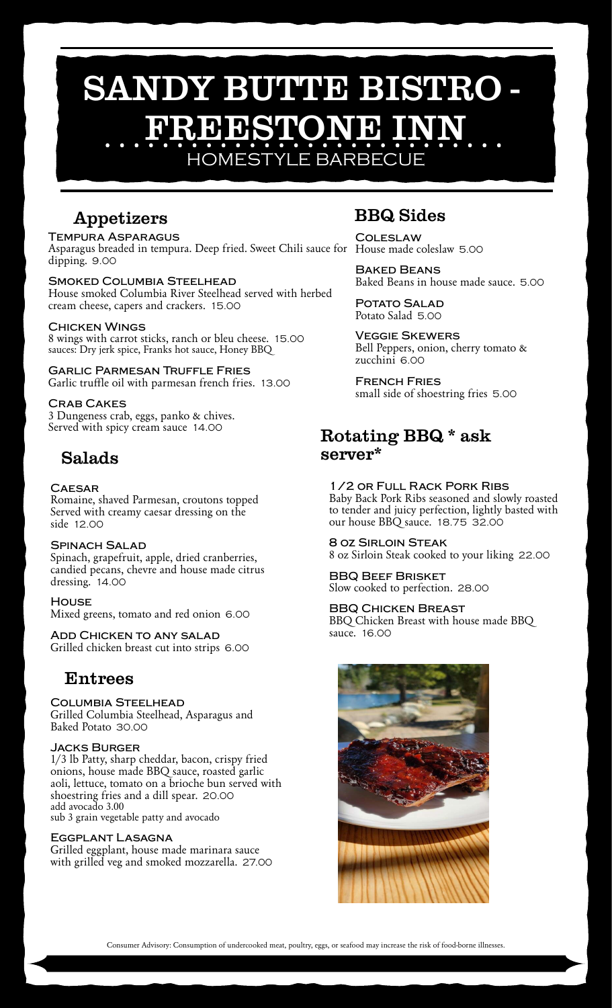## SANDY BUTTE BISTRO -FREESTONE I HOMESTYLE BARBECUE

Appetizers

**Tempura Asparagus** Asparagus breaded in tempura. Deep fried. Sweet Chili sauce for House made coleslaw 5.00 dipping. 9.00

**Smoked Columbia Steelhead** House smoked Columbia River Steelhead served with herbed cream cheese, capers and crackers. 15.00

#### **Chicken Wings**

8 wings with carrot sticks, ranch or bleu cheese. 15.00 sauces: Dry jerk spice, Franks hot sauce, Honey BBQ

**Garlic Parmesan Truffle Fries** Garlic truffle oil with parmesan french fries. 13.00

#### **Crab Cakes**

3 Dungeness crab, eggs, panko & chives. Served with spicy cream sauce 14.00

#### Salads

#### **Caesar**

Romaine, shaved Parmesan, croutons topped Served with creamy caesar dressing on the side 12.00

#### **Spinach Salad**

Spinach, grapefruit, apple, dried cranberries, candied pecans, chevre and house made citrus dressing. 14.00

#### **House**

Mixed greens, tomato and red onion 6.00

**Add Chicken to any salad** Grilled chicken breast cut into strips 6.00

#### Entrees

**Columbia Steelhead** Grilled Columbia Steelhead, Asparagus and Baked Potato 30.00

#### **Jacks Burger**

1/3 lb Patty, sharp cheddar, bacon, crispy fried onions, house made BBQ sauce, roasted garlic aoli, lettuce, tomato on a brioche bun served with shoestring fries and a dill spear. 20.00 add avocado 3.00 sub 3 grain vegetable patty and avocado

**Eggplant Lasagna**

Grilled eggplant, house made marinara sauce with grilled veg and smoked mozzarella. 27.00

#### BBQ Sides

**Coleslaw**

**Baked Beans** Baked Beans in house made sauce. 5.00

**Potato Salad** Potato Salad 5.00

**Veggie Skewers** Bell Peppers, onion, cherry tomato & zucchini 6.00

**French Fries** small side of shoestring fries 5.00

#### Rotating BBQ \* ask server\*

#### **1/2 or Full Rack Pork Ribs**

Baby Back Pork Ribs seasoned and slowly roasted to tender and juicy perfection, lightly basted with our house BBQ sauce. 18.75 32.00

**8 oz Sirloin Steak** 8 oz Sirloin Steak cooked to your liking 22.00

**BBQ Beef Brisket** Slow cooked to perfection. 28.00

#### **BBQ Chicken Breast**

BBQ Chicken Breast with house made BBQ sauce. 16.00